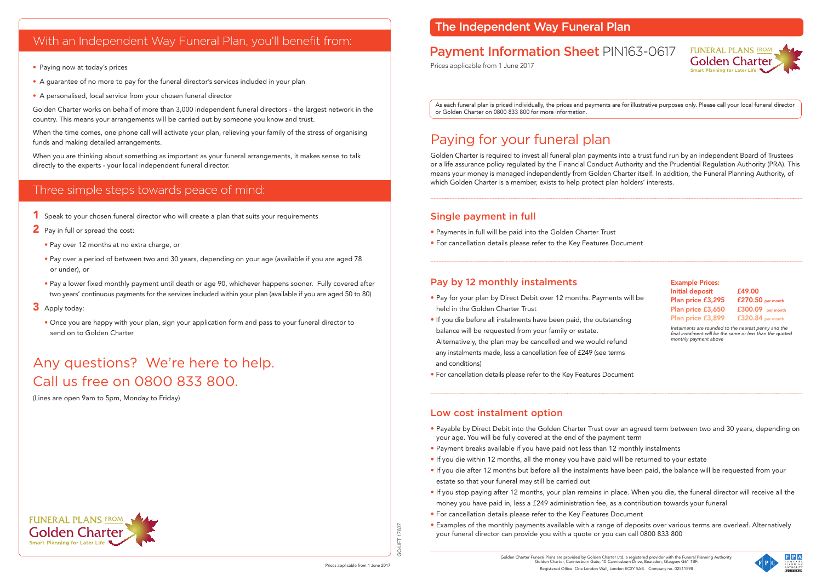#### Single payment in full

- Payments in full will be paid into the Golden Charter Trust
- For cancellation details please refer to the Key Features Document

### Pay by 12 monthly instalments

- Pay for your plan by Direct Debit over 12 months. Payments held in the Golden Charter Trust
- If you die before all instalments have been paid, the outstand balance will be requested from your family or estate.

Alternatively, the plan may be cancelled and we would refun any instalments made, less a cancellation fee of £249 (see term and conditions)

• For cancellation details please refer to the Key Features Docum

#### Low cost instalment option

- Payable by Direct Debit into the Golden Charter Trust over an agreed term between two and 30 years, depending on your age. You will be fully covered at the end of the payment term
- Payment breaks available if you have paid not less than 12 monthly instalments
- If you die within 12 months, all the money you have paid will be returned to your estate
- If you die after 12 months but before all the instalments have been paid, the balance will be requested from your estate so that your funeral may still be carried out
- If you stop paying after 12 months, your plan remains in place. When you die, the funeral director will receive all the money you have paid in, less a £249 administration fee, as a contribution towards your funeral
- For cancellation details please refer to the Key Features Document
- Examples of the monthly payments available with a range of deposits over various terms are overleaf. Alternatively your funeral director can provide you with a quote or you can call 0800 833 800

17637 GC-LIFT 17637 占

When the time comes, one phone call will activate your plan, relieving your family of the stress of organising funds and making detailed arrangements.

# Paying for your funeral plan

- <sup>1</sup> Speak to your chosen funeral director who will create a plan that suits your requirements
- 2 Pav in full or spread the cost:
	- Pay over 12 months at no extra charge, or
	- Pay over a period of between two and 30 years, depending on your age (available if you are aged 78 or under), or
	- Pay a lower fixed monthly payment until death or age 90, whichever happens sooner. Fully covered after two years' continuous payments for the services included within your plan (available if you are aged 50 to 80)
- 3 Apply today:
	- Once you are happy with your plan, sign your application form and pass to your funeral director to send on to Golden Charter

Golden Charter is required to invest all funeral plan payments into a trust fund run by an independent Board of Trustees or a life assurance policy regulated by the Financial Conduct Authority and the Prudential Regulation Authority (PRA). This means your money is managed independently from Golden Charter itself. In addition, the Funeral Planning Authority, of which Golden Charter is a member, exists to help protect plan holders' interests.

## With an Independent Way Funeral Plan, you'll benefit from:

- Paying now at today's prices
- A guarantee of no more to pay for the funeral director's services included in your plan
- A personalised, local service from your chosen funeral director

Golden Charter works on behalf of more than 3,000 independent funeral directors - the largest network in the country. This means your arrangements will be carried out by someone you know and trust.

When you are thinking about something as important as your funeral arrangements, it makes sense to talk directly to the experts - your local independent funeral director.

### Three simple steps towards peace of mind:

# Any questions? We're here to help. Call us free on 0800 833 800.

(Lines are open 9am to 5pm, Monday to Friday)

As each funeral plan is priced individually, the prices and payments are for illustrative purposes only. Please call your local funeral director or Golden Charter on 0800 833 800 for more information.

## The Independent Way Funeral Plan

# Payment Information Sheet PIN163-0617

Prices applicable from 1 June 2017

|           | <b>Example Prices:</b><br><b>Initial deposit</b>                                                                                           | £49.00              |  |  |  |  |
|-----------|--------------------------------------------------------------------------------------------------------------------------------------------|---------------------|--|--|--|--|
| will be » | Plan price £3,295                                                                                                                          | £270.50 per month   |  |  |  |  |
|           | Plan price £3,650                                                                                                                          | $£300.09$ per month |  |  |  |  |
| ing       | Plan price £3,899                                                                                                                          | $£320.84$ per month |  |  |  |  |
| ıd        | Instalments are rounded to the nearest penny and the<br>final instalment will be the same or less than the quoted<br>monthly payment above |                     |  |  |  |  |
| IS        |                                                                                                                                            |                     |  |  |  |  |
|           |                                                                                                                                            |                     |  |  |  |  |
| าent      |                                                                                                                                            |                     |  |  |  |  |

**FUNERAL PLANS FROM Golden Charter** art Dianning for Later Life